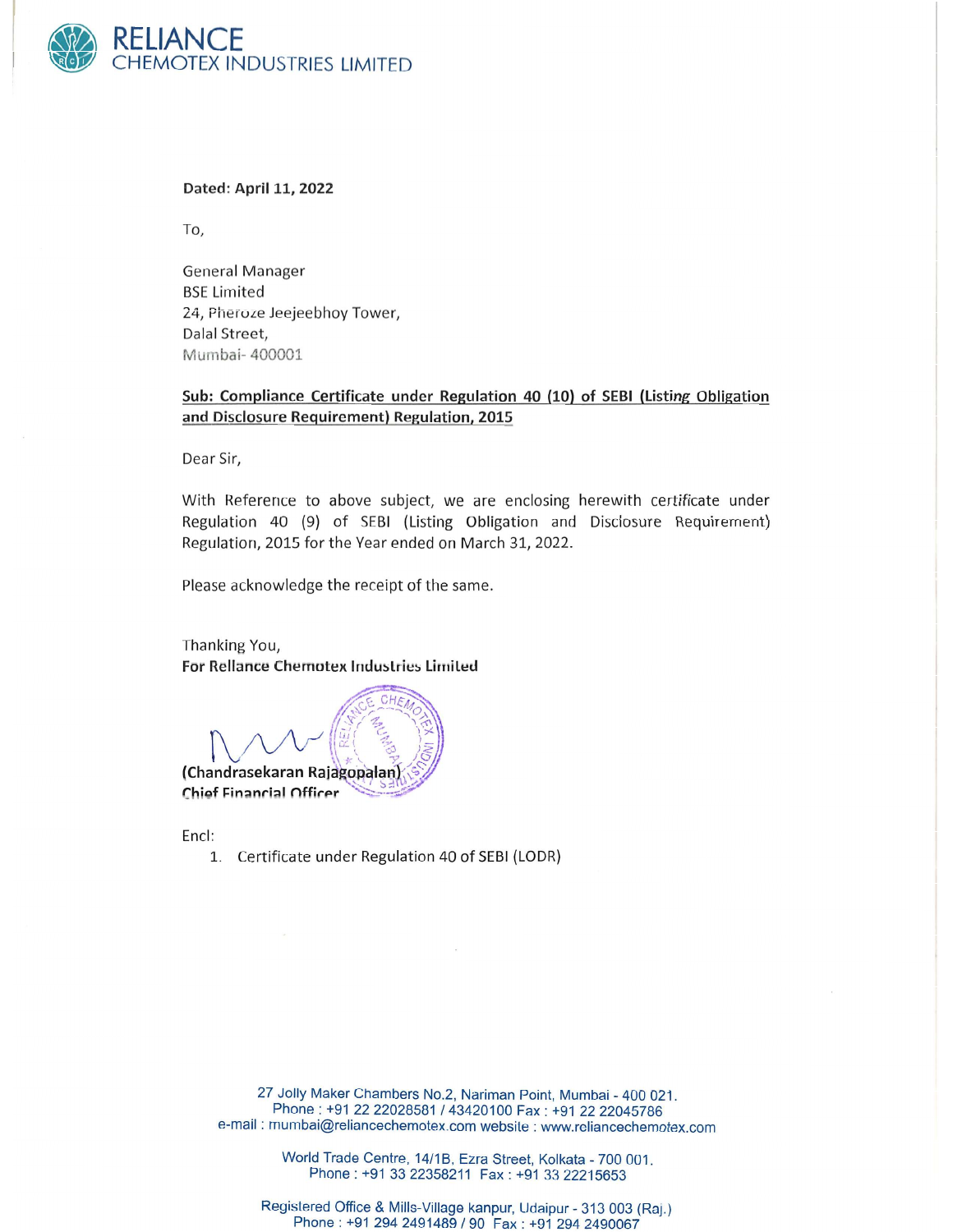

Dated: April 11, 2022

To,

General Manager **BSE Limited** 24, Pheroze Jeejeebhoy Tower, Dalal Street, Mumbai- 400001

## Sub: Compliance Certificate under Regulation 40 (10) of SEBI (Listing Obligation and Disclosure Requirement) Regulation, 2015

Dear Sir,

With Reference to above subject, we are enclosing herewith certificate under Regulation 40 (9) of SEBI (Listing Obligation and Disclosure Requirement) Regulation, 2015 for the Year ended on March 31, 2022.

Please acknowledge the receipt of the same.

Thanking You, For Rellance Chemotex Industries Limited

(Chandrasekaran Rajagopalan) Chief Financial Officer

Encl:

1. Certificate under Regulation 40 of SEBI (LODR)

27 Jolly Maker Chambers No.2, Nariman Point, Mumbai - 400 021. Phone: +91 2222028581 *143420100* Fax: +91 2222045786 e-mail: mumbai@reliancechemotex.com website: www.reliancechemotex.com

> World Trade Centre, *14/1* B, Ezra Street, Kolkata - 700 001. Phone: +91 33 22358211 Fax: +91 33 22215653

Registered Office & Mills-Village kanpur, Udaipur - 313 003 (Raj.) Phone: +91 294 2491489 / 90 Fax: +91 294 2490067